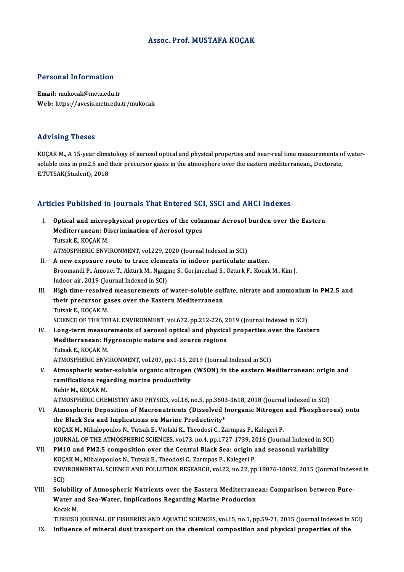## Assoc. Prof.MUSTAFA KOÇAK

### Personal Information

Email: mukocak@metu.edu.tr Web: https://avesis.metu.edu.tr/mukocak

### Advising Theses

KOÇAK M., A 15-year climatology of aerosol optical and physical properties and near-real time measurements of watersoluble ions in pm2.5 and their precursor gases in the atmosphere over the eastern mediterranean., Doctorate, E.TUTSAK(Student),2018

# e.1015AK(Suudent), 2018<br>Articles Published in Journals That Entered SCI, SSCI and AHCI Indexes

- rticles Published in Journals That Entered SCI, SSCI and AHCI Indexes<br>I. Optical and microphysical properties of the columnar Aerosol burden over the Eastern<br>Mediterranean: Discrimination of Aerosol types Mediterranean: Discrimination of Aerosol types<br>Mediterranean: Discrimination of Aerosol types<br>Tutak E. KOCAK M **Optical and micro<br>Mediterranean: Di<br>Tutsak E., KOÇAK M.<br>ATMOSDUEDIC ENVI** Tutsak E., KOÇAK M.<br>ATMOSPHERIC ENVIRONMENT, vol.229, 2020 (Journal Indexed in SCI)
- II. A new exposure route to trace elements in indoor particulate matter. ATMOSPHERIC ENVIRONMENT, vol.229, 2020 (Journal Indexed in SCI)<br>A new exposure route to trace elements in indoor particulate matter.<br>Broomandi P., Amouei T., Akturk M., Ngagine S., Gorjinezhad S., Ozturk F., Kocak M., Kim A new exposure route to trace eleme<br>Broomandi P., Amouei T., Akturk M., Ngagi<br>Indoor air, 2019 (Journal Indexed in SCI)<br>High time reselved measurements of Broomandi P., Amouei T., Akturk M., Ngagine S., Gorjinezhad S., Ozturk F., Kocak M., Kim J.<br>Indoor air, 2019 (Journal Indexed in SCI)<br>III. High time-resolved measurements of water-soluble sulfate, nitrate and ammonium in P
- Indoor air, 2019 (Journal Indexed in SCI)<br>High time-resolved measurements of water-soluble sul:<br>their precursor gases over the Eastern Mediterranean<br>Tutek E. KOCAK M **High time-resolve**<br>their precursor ga<br>Tutsak E., KOÇAK M.<br>SCIENCE OF TUE TO their precursor gases over the Eastern Mediterranean<br>Tutsak E., KOÇAK M.<br>SCIENCE OF THE TOTAL ENVIRONMENT, vol.672, pp.212-226, 2019 (Journal Indexed in SCI) Tutsak E., KOÇAK M.<br>SCIENCE OF THE TOTAL ENVIRONMENT, vol.672, pp.212-226, 2019 (Journal Indexed in SCI)<br>IV. Long-term measurements of aerosol optical and physical properties over the Eastern<br>Mediterranean: Hygrossanic nat

- SCIENCE OF THE TOTAL ENVIRONMENT, vol.672, pp.212-226, 2<br>Long-term measurements of aerosol optical and physica<br>Mediterranean: Hygroscopic nature and source regions<br>Tuteek E, KOCAK M Long-term measu<br>Mediterranean: Hy<br>Tutsak E., KOÇAK M.<br>ATMOSDUEDIC ENVI Mediterranean: Hygroscopic nature and source regions<br>Tutsak E., KOÇAK M.<br>ATMOSPHERIC ENVIRONMENT, vol.207, pp.1-15, 2019 (Journal Indexed in SCI) Tutsak E., KOÇAK M.<br>ATMOSPHERIC ENVIRONMENT, vol.207, pp.1-15, 2019 (Journal Indexed in SCI)<br>V. Atmospheric water-soluble organic nitrogen (WSON) in the eastern Mediterranean: origin and<br>remifications reserving merine prod
- ATMOSPHERIC ENVIRONMENT, vol.207, pp.1-15, 2<br>Atmospheric water-soluble organic nitrogen<br>ramifications regarding marine productivity<br>Nebin M. KOCAK M Atmospheric wate<br>ramifications rega<br>Nehir M., KOÇAK M.<br>ATMOSPHEPIC CHE ramifications regarding marine productivity<br>Nehir M., KOÇAK M.<br>ATMOSPHERIC CHEMISTRY AND PHYSICS, vol.18, no.5, pp.3603-3618, 2018 (Journal Indexed in SCI)
- VI. Atmospheric Deposition of Macronutrients (Dissolved Inorganic Nitrogen and Phosphorous) onto the Black Sea and Implications on Marine Productivity\* KOÇAK M., Mihalopoulos N., Tutsak E., Violaki K., Theodosi C., Zarmpas P., Kalegeri P. the Black Sea and Implications on Marine Productivity\*<br>KOÇAK M., Mihalopoulos N., Tutsak E., Violaki K., Theodosi C., Zarmpas P., Kalegeri P.<br>JOURNAL OF THE ATMOSPHERIC SCIENCES, vol.73, no.4, pp.1727-1739, 2016 (Journal I KOÇAK M., Mihalopoulos N., Tutsak E., Violaki K., Theodosi C., Zarmpas P., Kalegeri P.<br>JOURNAL OF THE ATMOSPHERIC SCIENCES, vol.73, no.4, pp.1727-1739, 2016 (Journal Indexed in SCI<br>VII. PM10 and PM2.5 composition over the
- JOURNAL OF THE ATMOSPHERIC SCIENCES, vol.73, no.4, pp.1727-1739, 20<br>PM10 and PM2.5 composition over the Central Black Sea: origin a<br>KOÇAK M., Mihalopoulos N., Tutsak E., Theodosi C., Zarmpas P., Kalegeri P.<br>ENVIRONMENTAL S VII. PM10 and PM2.5 composition over the Central Black Sea: origin and seasonal variability<br>KOÇAK M., Mihalopoulos N., Tutsak E., Theodosi C., Zarmpas P., Kalegeri P.<br>ENVIRONMENTAL SCIENCE AND POLLUTION RESEARCH, vol.22, n KOÇAK M., Mihalopoulos N., Tutsak E., Theodosi C., Zarmpas P., Kalegeri P. ENVIRONMENTAL SCIENCE AND POLLUTION RESEARCH, vol.22, no.22, pp.18076-18092, 2015 (Journal Index<br>SCI)<br>VIII. Solubility of Atmospheric Nutrients over the Eastern Mediterranean: Comparison between Pure-<br>Water and See Water I
- SCI)<br>Solubility of Atmospheric Nutrients over the Eastern Mediterrane<br>Water and Sea-Water, Implications Regarding Marine Production<br>Kosak M Solubili<mark>t</mark><br>Water al<br>Kocak M.<br>TUPKISH Water and Sea-Water, Implications Regarding Marine Production<br>Kocak M.<br>TURKISH JOURNAL OF FISHERIES AND AQUATIC SCIENCES, vol.15, no.1, pp.59-71, 2015 (Journal Indexed in SCI)<br>Influence of minoral dust transport on the sha Kocak M.<br>TURKISH JOURNAL OF FISHERIES AND AQUATIC SCIENCES, vol.15, no.1, pp.59-71, 2015 (Journal Indexed in<br>IX. Influence of mineral dust transport on the chemical composition and physical properties of the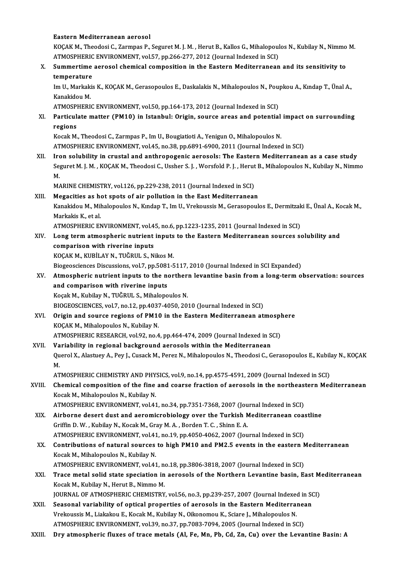### Eastern Mediterranean aerosol

Eastern Mediterranean aerosol<br>KOÇAK M., Theodosi C., Zarmpas P., Seguret M. J. M. , Herut B., Kallos G., Mihalopoulos N., Kubilay N., Nimmo M<br>ATMOSPHERIC ENVIRONMENT, vel 57, np.266,277, 2012 (Jaymal Indexed in SCI) Eastern Mediterranean aerosol<br>KOÇAK M., Theodosi C., Zarmpas P., Seguret M. J. M. , Herut B., Kallos G., Mihalopoul<br>ATMOSPHERIC ENVIRONMENT, vol.57, pp.266-277, 2012 (Journal Indexed in SCI)<br>Summertime aerosol shemisel sem ATMOSPHERIC ENVIRONMENT, vol.57, pp.266-277, 2012 (Journal Indexed in SCI)

# X. Summertime aerosol chemical composition in the Eastern Mediterranean and its sensitivity to temperature Summertime aerosol chemical composition in the Eastern Mediterranean and its sensitivity to<br>temperature<br>Im U., Markakis K., KOÇAK M., Gerasopoulos E., Daskalakis N., Mihalopoulos N., Poupkou A., Kındap T., Ünal A.,<br>Kanakid

**temperature<br>Im U., Markaki<br>Kanakidou M.<br>ATMOSPHEPI** Im U., Markakis K., KOÇAK M., Gerasopoulos E., Daskalakis N., Mihalopoulos N., Pou<br>Kanakidou M.<br>ATMOSPHERIC ENVIRONMENT, vol.50, pp.164-173, 2012 (Journal Indexed in SCI)<br>Partiqulate matter (PM10) in Istanbul: Origin, sour

Kanakidou M.<br>ATMOSPHERIC ENVIRONMENT, vol.50, pp.164-173, 2012 (Journal Indexed in SCI)<br>XI. Particulate matter (PM10) in Istanbul: Origin, source areas and potential impact on surrounding<br>regions ATMOSP<br>Particul<br>regions<br>Kosak M Particulate matter (PM10) in Istanbul: Origin, source areas and potential<br>regions<br>Kocak M., Theodosi C., Zarmpas P., Im U., Bougiatioti A., Yenigun O., Mihalopoulos N.<br>ATMOSPUERIC ENVIRONMENT vol.45, no.29, np.6901, 6000,

regions<br>Kocak M., Theodosi C., Zarmpas P., Im U., Bougiatioti A., Yenigun O., Mihalopoulos N.<br>ATMOSPHERIC ENVIRONMENT, vol.45, no.38, pp.6891-6900, 2011 (Journal Indexed in SCI)

XII. Iron solubility in crustal and anthropogenic aerosols: The Eastern Mediterranean as a case study ATMOSPHERIC ENVIRONMENT, vol.45, no.38, pp.6891-6900, 2011 (Journal Indexed in SCI)<br>Iron solubility in crustal and anthropogenic aerosols: The Eastern Mediterranean as a case study<br>Seguret M. J. M. , KOÇAK M., Theodosi C., Iro<br>Se<br>M<br>M Seguret M. J. M. , KOÇAK M., Theodosi C., Ussher S. J. , Worsfold P. J. , Herut<br>M.<br>MARINE CHEMISTRY, vol.126, pp.229-238, 2011 (Journal Indexed in SCI)<br>Megasities as het spots of air pollution in the East Mediterranear M.<br>MARINE CHEMISTRY, vol.126, pp.229-238, 2011 (Journal Indexed in SCI)<br>XIII. Megacities as hot spots of air pollution in the East Mediterranean

MARINE CHEMISTRY, vol.126, pp.229-238, 2011 (Journal Indexed in SCI)<br>Megacities as hot spots of air pollution in the East Mediterranean<br>Kanakidou M., Mihalopoulos N., Kındap T., Im U., Vrekoussis M., Gerasopoulos E., Dermi Megacities as he<br>Kanakidou M., Mil<br>Markakis K., et al.<br>ATMOSDUEDIC EN Kanakidou M., Mihalopoulos N., Kındap T., Im U., Vrekoussis M., Gerasopoulos E., Dermitzak<br>Markakis K., et al.<br>ATMOSPHERIC ENVIRONMENT, vol.45, no.6, pp.1223-1235, 2011 (Journal Indexed in SCI)<br>Long term atmospheris putrie

ATMOSPHERIC ENVIRONMENT, vol.45, no.6, pp.1223-1235, 2011 (Journal Indexed in SCI)

# Markakis K., et al.<br>ATMOSPHERIC ENVIRONMENT, vol.45, no.6, pp.1223-1235, 2011 (Journal Indexed in SCI)<br>XIV. Long term atmospheric nutrient inputs to the Eastern Mediterranean sources solubility and<br>comparison with riverine comparison with riverine inputs<br>KOÇAK M., KUBİLAY N., TUĞRUL S., Nikos M.<br>Biogeosciences Discussions, vol.7, pp.5081-5117, 2010 (Journal Indexed in SCI Expanded)<br>Atmospharis putriant inputs to the porthern leventine besin

KOÇAK M., KUBİLAY N., TUĞRUL S., Nikos M.

# KOÇAK M., KUBİLAY N., TUĞRUL S., Nikos M.<br>Biogeosciences Discussions, vol.7, pp.5081-5117, 2010 (Journal Indexed in SCI Expanded)<br>XV. Atmospheric nutrient inputs to the northern levantine basin from a long-term observa Biogeosciences Discussions, vol.7, pp.5081<br>Atmospheric nutrient inputs to the no<br>and comparison with riverine inputs<br>Kosak M. Kubilay N. TUČPULS, Mibelene Atmospheric nutrient inputs to the norther<br>and comparison with riverine inputs<br>Koçak M., Kubilay N., TUĞRUL S., Mihalopoulos N.<br>PIOCEOSCIENCES vol 7 no 12 nn 4027 4050 20. and comparison with riverine inputs<br>Koçak M., Kubilay N., TUĞRUL S., Mihalopoulos N.<br>BIOGEOSCIENCES, vol.7, no.12, pp.4037-4050, 2010 (Journal Indexed in SCI)

# Koçak M., Kubilay N., TUĞRUL S., Mihalopoulos N.<br>BIOGEOSCIENCES, vol.7, no.12, pp.4037-4050, 2010 (Journal Indexed in SCI)<br>XVI. Origin and source regions of PM10 in the Eastern Mediterranean atmosphere<br>XOCAX M. Mihalop BIOGEOSCIENCES, vol.7, no.12, pp.4037<br>Origin and source regions of PM1<br>KOÇAK M., Mihalopoulos N., Kubilay N. Origin and source regions of PM10 in the Eastern Mediterranean atmospl<br>KOÇAK M., Mihalopoulos N., Kubilay N.<br>ATMOSPHERIC RESEARCH, vol.92, no.4, pp.464-474, 2009 (Journal Indexed in SCI)<br>Vorjability in nozional baskspound KOÇAK M., Mihalopoulos N., Kubilay N.<br>ATMOSPHERIC RESEARCH, vol.92, no.4, pp.464-474, 2009 (Journal Indexed in SCI)<br>XVII. Variability in regional background aerosols within the Mediterranean

ATMOSPHERIC RESEARCH, vol.92, no.4, pp.464-474, 2009 (Journal Indexed in SCI)<br>Variability in regional background aerosols within the Mediterranean<br>Querol X., Alastuey A., Pey J., Cusack M., Perez N., Mihalopoulos N., Theod Va<br>Qu<br>M Querol X., Alastuey A., Pey J., Cusack M., Perez N., Mihalopoulos N., Theodosi C., Gerasopoulos E., Kubil:<br>M.<br>ATMOSPHERIC CHEMISTRY AND PHYSICS, vol.9, no.14, pp.4575-4591, 2009 (Journal Indexed in SCI)<br>Chamical compositio

ATMOSPHERIC CHEMISTRY AND PHYSICS, vol.9, no.14, pp.4575-4591, 2009 (Journal Indexed in SCI)

M.<br>ATMOSPHERIC CHEMISTRY AND PHYSICS, vol.9, no.14, pp.4575-4591, 2009 (Journal Indexed in SCI)<br>XVIII. Chemical composition of the fine and coarse fraction of aerosols in the northeastern Mediterranean<br>Kocak M., Mihalopoul Chemical composition of the fine and coarse fraction of aerosols in the northeas<br>Kocak M., Mihalopoulos N., Kubilay N.<br>ATMOSPHERIC ENVIRONMENT, vol.41, no.34, pp.7351-7368, 2007 (Journal Indexed in SCI)<br>Airborne desert dus

- Kocak M., Mihalopoulos N., Kubilay N.<br>ATMOSPHERIC ENVIRONMENT, vol.41, no.34, pp.7351-7368, 2007 (Journal Indexed in SCI)<br>XIX. Airborne desert dust and aeromicrobiology over the Turkish Mediterranean coastline<br>Criffin D.W. ATMOSPHERIC ENVIRONMENT, vol.41, no.34, pp.7351-7368, 2007 (Jou<br>Airborne desert dust and aeromicrobiology over the Turkish N<br>Griffin D. W. , Kubilay N., Kocak M., Gray M. A. , Borden T. C. , Shinn E. A.<br>ATMOSPHERIC ENVIRON Airborne desert dust and aeromicrobiology over the Turkish Mediterranean coas:<br>Griffin D. W. , Kubilay N., Kocak M., Gray M. A. , Borden T. C. , Shinn E. A.<br>ATMOSPHERIC ENVIRONMENT, vol.41, no.19, pp.4050-4062, 2007 (Journ Griffin D. W., Kubilay N., Kocak M., Gray M. A., Borden T. C., Shinn E. A.<br>ATMOSPHERIC ENVIRONMENT, vol.41, no.19, pp.4050-4062, 2007 (Journal Indexed in SCI)<br>XX. Contributions of natural sources to high PM10 and PM2.5 eve
- ATMOSPHERIC ENVIRONMENT, vol.41<br>Contributions of natural sources<br>Kocak M., Mihalopoulos N., Kubilay N.<br>ATMOSPUEPLE ENVIRONMENT, vol.41 Contributions of natural sources to high PM10 and PM2.5 events in the eastern N<br>Kocak M., Mihalopoulos N., Kubilay N.<br>ATMOSPHERIC ENVIRONMENT, vol.41, no.18, pp.3806-3818, 2007 (Journal Indexed in SCI)<br>Trace metal solid st ATMOSPHERIC ENVIRONMENT, vol.41, no.18, pp.3806-3818, 2007 (Journal Indexed in SCI)
- Kocak M., Mihalopoulos N., Kubilay N.<br>ATMOSPHERIC ENVIRONMENT, vol.41, no.18, pp.3806-3818, 2007 (Journal Indexed in SCI)<br>XXI. Trace metal solid state speciation in aerosols of the Northern Levantine basin, East Medite Trace metal solid state speciation in aerosols of the Northern Levantine basin, East M<br>Kocak M., Kubilay N., Herut B., Nimmo M.<br>JOURNAL OF ATMOSPHERIC CHEMISTRY, vol.56, no.3, pp.239-257, 2007 (Journal Indexed in SCI)<br>Seco Kocak M., Kubilay N., Herut B., Nimmo M.<br>JOURNAL OF ATMOSPHERIC CHEMISTRY, vol.56, no.3, pp.239-257, 2007 (Journal Indexed in SONAL OF ATMOSPHERIC CHEMISTRY, vol.56, no.3, pp.239-257, 2007 (Journal Indexed in SONAL OF ATMO

- JOURNAL OF ATMOSPHERIC CHEMISTRY, vol.56, no.3, pp.239-257, 2007 (Journal Indexed<br>Seasonal variability of optical properties of aerosols in the Eastern Mediterral<br>Vrekoussis M., Liakakou E., Kocak M., Kubilay N., Oikonomou XXII. Seasonal variability of optical properties of aerosols in the Eastern Mediterranean<br>Vrekoussis M., Liakakou E., Kocak M., Kubilay N., Oikonomou K., Sciare J., Mihalopoulos N.<br>ATMOSPHERIC ENVIRONMENT, vol.39, no.37, p
- XXIII. Dry atmospheric fluxes of trace metals (Al, Fe, Mn, Pb, Cd, Zn, Cu) over the Levantine Basin: A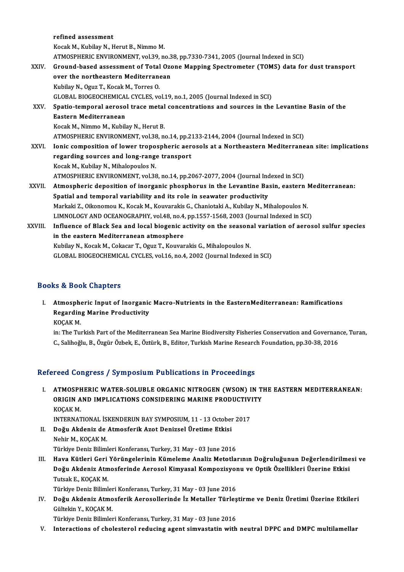|         | refined assessment                                                                                     |
|---------|--------------------------------------------------------------------------------------------------------|
|         | Kocak M., Kubilay N., Herut B., Nimmo M.                                                               |
|         | ATMOSPHERIC ENVIRONMENT, vol.39, no.38, pp.7330-7341, 2005 (Journal Indexed in SCI)                    |
| XXIV.   | Ground-based assessment of Total Ozone Mapping Spectrometer (TOMS) data for dust transport             |
|         | over the northeastern Mediterranean                                                                    |
|         | Kubilay N., Oguz T., Kocak M., Torres O.                                                               |
|         | GLOBAL BIOGEOCHEMICAL CYCLES, vol.19, no.1, 2005 (Journal Indexed in SCI)                              |
| XXV.    | Spatio-temporal aerosol trace metal concentrations and sources in the Levantine Basin of the           |
|         | Eastern Mediterranean                                                                                  |
|         | Kocak M., Nimmo M., Kubilay N., Herut B.                                                               |
|         | ATMOSPHERIC ENVIRONMENT, vol.38, no.14, pp.2133-2144, 2004 (Journal Indexed in SCI)                    |
| XXVI.   | Ionic composition of lower tropospheric aerosols at a Northeastern Mediterranean site: implications    |
|         | regarding sources and long-range transport                                                             |
|         | Kocak M., Kubilay N., Mihalopoulos N.                                                                  |
|         | ATMOSPHERIC ENVIRONMENT, vol.38, no.14, pp.2067-2077, 2004 (Journal Indexed in SCI)                    |
| XXVII.  | Atmospheric deposition of inorganic phosphorus in the Levantine Basin, eastern Mediterranean:          |
|         | Spatial and temporal variability and its role in seawater productivity                                 |
|         | Markaki Z., Oikonomou K., Kocak M., Kouvarakis G., Chaniotaki A., Kubilay N., Mihalopoulos N.          |
|         | LIMNOLOGY AND OCEANOGRAPHY, vol.48, no.4, pp.1557-1568, 2003 (Journal Indexed in SCI)                  |
| XXVIII. | Influence of Black Sea and local biogenic activity on the seasonal variation of aerosol sulfur species |
|         | in the eastern Mediterranean atmosphere                                                                |
|         | Kubilay N., Kocak M., Cokacar T., Oguz T., Kouvarakis G., Mihalopoulos N.                              |
|         | GLOBAL BIOGEOCHEMICAL CYCLES, vol.16, no.4, 2002 (Journal Indexed in SCI)                              |
|         |                                                                                                        |

## Books&Book Chapters

ooks & Book Chapters<br>I. Atmospheric Input of Inorganic Macro-Nutrients in the EasternMediterranean: Ramifications<br>Regarding Marine Productivity Regarding Marine Productivity<br>Regarding Marine Productivity<br>VOCAV M Atmosphe<br>Regardin<br>KOÇAK M.<br>in:The Tur Regarding Marine Productivity<br>KOÇAK M.<br>in: The Turkish Part of the Mediterranean Sea Marine Biodiversity Fisheries Conservation and Governance, Turan,

C.,Salihoğlu,B.,ÖzgürÖzbek,E.,Öztürk,B.,Editor,TurkishMarineResearch Foundation,pp.30-38,2016

## Refereed Congress / Symposium Publications in Proceedings

efereed Congress / Symposium Publications in Proceedings<br>I. ATMOSPHERIC WATER-SOLUBLE ORGANIC NITROGEN (WSON) IN THE EASTERN MEDITERRANEAN:<br>ORICIN AND IMPLICATIONS CONSIDERING MARINE RRODUCTIVITY TOOR OORGEDOOT OF MILOONAM TRENORMOMO IN TTOOOGRINGO<br>ATMOSPHERIC WATER-SOLUBLE ORGANIC NITROGEN (WSON) IN T<br>ORIGIN AND IMPLICATIONS CONSIDERING MARINE PRODUCTIVITY<br>VOCAV M <mark>ATMOSPH</mark><br>ORIGIN A<br>KOÇAK M.<br>INTERNAT ORIGIN AND IMPLICATIONS CONSIDERING MARINE PRODUCTIVITY KOCAK M.

INTERNATIONAL İSKENDERUN BAY SYMPOSIUM, 11 - 13 October 2017

- II. Doğu Akdeniz de Atmosferik Azot Denizsel Üretime Etkisi<br>Nehir M., KOÇAK M. Türkiye Deniz Bilimleri Konferansı, Turkey, 31 May - 03 June 2016
- Nehir M., KOÇAK M.<br>Türkiye Deniz Bilimleri Konferansı, Turkey, 31 May 03 June 2016<br>III. Hava Kütleri Geri Yörüngelerinin Kümeleme Analiz Metotlarının Doğruluğunun Değerlendirilmesi ve<br>Doğu Akdeniz Atmesfaninde Aerese Türkiye Deniz Bilimleri Konferansı, Turkey, 31 May - 03 June 2016<br>Hava Kütleri Geri Yörüngelerinin Kümeleme Analiz Metotlarının Doğruluğunun Değerlendirilme<br>Doğu Akdeniz Atmosferinde Aerosol Kimyasal Kompozisyonu ve Optik Tutsak E., KOÇAK M.<br>Türkiye Deniz Bilimleri Konferansı, Turkey, 31 May - 03 June 2016 Doğu Akdeniz Atmosferinde Aerosol Kimyasal Kompozisyonu ve Optik Özellikleri Üzerine Etkisi

Tutsak E., KOÇAK M.<br>Türkiye Deniz Bilimleri Konferansı, Turkey, 31 May - 03 June 2016<br>IV. Doğu Akdeniz Atmosferik Aerosollerinde İz Metaller Türleştirme ve Deniz Üretimi Üzerine Etkileri<br>Gültekin V. KOCAK M Türkiye Deniz Bilimler<br><mark>Doğu Akdeniz Atmo</mark><br>Gültekin Y., KOÇAK M.<br>Türkiye Deniz Bilimler Doğu Akdeniz Atmosferik Aerosollerinde İz Metaller Türleş<br>Gültekin Y., KOÇAK M.<br>Türkiye Deniz Bilimleri Konferansı, Turkey, 31 May - 03 June 2016<br>Interactions of shelesterel reducing agent simuastatin with Gültekin Y., KOÇAK M.<br>Türkiye Deniz Bilimleri Konferansı, Turkey, 31 May - 03 June 2016<br>V. Interactions of cholesterol reducing agent simvastatin with neutral DPPC and DMPC multilamellar